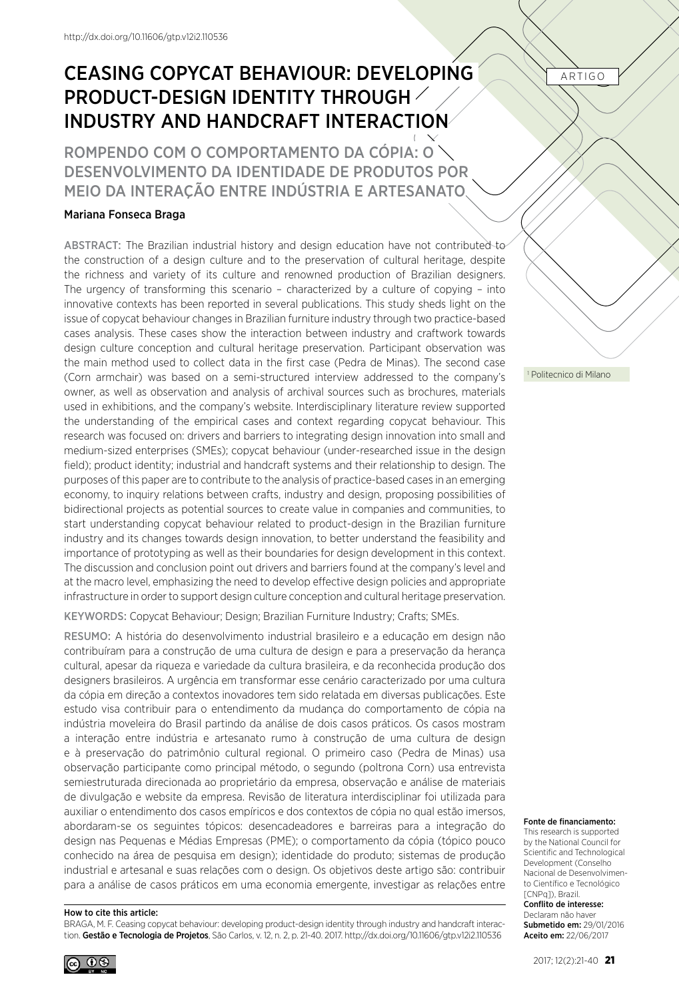# CEASING COPYCAT BEHAVIOUR: DEVELOPING PRODUCT-DESIGN IDENTITY THROUGH INDUSTRY AND HANDCRAFT INTERACTION

ROMPENDO COM O COMPORTAMENTO DA CÓPIA: O DESENVOLVIMENTO DA IDENTIDADE DE PRODUTOS POR MEIO DA INTERAÇÃO ENTRE INDÚSTRIA E ARTESANATO

#### Mariana Fonseca Braga

ABSTRACT: The Brazilian industrial history and design education have not contributed to the construction of a design culture and to the preservation of cultural heritage, despite the richness and variety of its culture and renowned production of Brazilian designers. The urgency of transforming this scenario – characterized by a culture of copying – into innovative contexts has been reported in several publications. This study sheds light on the issue of copycat behaviour changes in Brazilian furniture industry through two practice-based cases analysis. These cases show the interaction between industry and craftwork towards design culture conception and cultural heritage preservation. Participant observation was the main method used to collect data in the first case (Pedra de Minas). The second case (Corn armchair) was based on a semi-structured interview addressed to the company's owner, as well as observation and analysis of archival sources such as brochures, materials used in exhibitions, and the company's website. Interdisciplinary literature review supported the understanding of the empirical cases and context regarding copycat behaviour. This research was focused on: drivers and barriers to integrating design innovation into small and medium-sized enterprises (SMEs); copycat behaviour (under-researched issue in the design field); product identity; industrial and handcraft systems and their relationship to design. The purposes of this paper are to contribute to the analysis of practice-based cases in an emerging economy, to inquiry relations between crafts, industry and design, proposing possibilities of bidirectional projects as potential sources to create value in companies and communities, to start understanding copycat behaviour related to product-design in the Brazilian furniture industry and its changes towards design innovation, to better understand the feasibility and importance of prototyping as well as their boundaries for design development in this context. The discussion and conclusion point out drivers and barriers found at the company's level and at the macro level, emphasizing the need to develop effective design policies and appropriate infrastructure in order to support design culture conception and cultural heritage preservation.

KEYWORDS: Copycat Behaviour; Design; Brazilian Furniture Industry; Crafts; SMEs.

RESUMO: A história do desenvolvimento industrial brasileiro e a educação em design não contribuíram para a construção de uma cultura de design e para a preservação da herança cultural, apesar da riqueza e variedade da cultura brasileira, e da reconhecida produção dos designers brasileiros. A urgência em transformar esse cenário caracterizado por uma cultura da cópia em direção a contextos inovadores tem sido relatada em diversas publicações. Este estudo visa contribuir para o entendimento da mudança do comportamento de cópia na indústria moveleira do Brasil partindo da análise de dois casos práticos. Os casos mostram a interação entre indústria e artesanato rumo à construção de uma cultura de design e à preservação do patrimônio cultural regional. O primeiro caso (Pedra de Minas) usa observação participante como principal método, o segundo (poltrona Corn) usa entrevista semiestruturada direcionada ao proprietário da empresa, observação e análise de materiais de divulgação e website da empresa. Revisão de literatura interdisciplinar foi utilizada para auxiliar o entendimento dos casos empíricos e dos contextos de cópia no qual estão imersos, abordaram-se os seguintes tópicos: desencadeadores e barreiras para a integração do design nas Pequenas e Médias Empresas (PME); o comportamento da cópia (tópico pouco conhecido na área de pesquisa em design); identidade do produto; sistemas de produção industrial e artesanal e suas relações com o design. Os objetivos deste artigo são: contribuir para a análise de casos práticos em uma economia emergente, investigar as relações entre

#### How to cite this article:

BRAGA, M. F. Ceasing copycat behaviour: developing product-design identity through industry and handcraft interaction. Gestão e Tecnologia de Projetos, São Carlos, v. 12, n. 2, p. 21-40. 2017. http://dx.doi.org/10.11606/gtp.v12i2.110536



<sup>1</sup> Politecnico di Milano

#### Fonte de financiamento:

This research is supported by the National Council for Scientific and Technological Development (Conselho Nacional de Desenvolvimento Científico e Tecnológico [CNPg]), Brazil.

Conflito de interesse: Declaram não haver Submetido em: 29/01/2016 Aceito em: 22/06/2017

2017; 12(2):21-40 21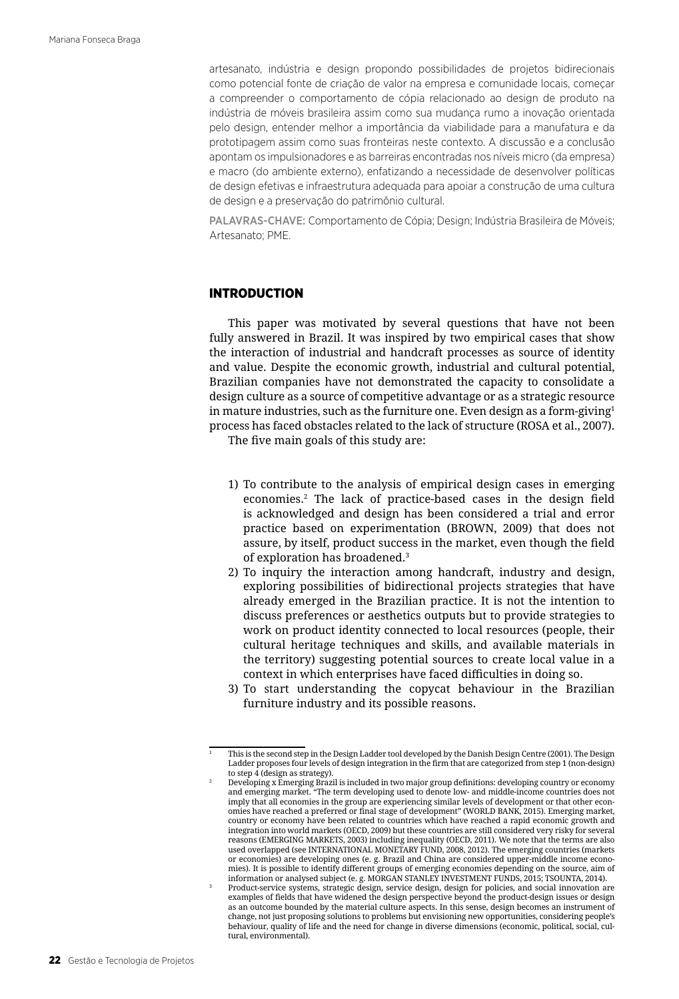artesanato, indústria e design propondo possibilidades de projetos bidirecionais como potencial fonte de criação de valor na empresa e comunidade locais, começar a compreender o comportamento de cópia relacionado ao design de produto na indústria de móveis brasileira assim como sua mudança rumo a inovação orientada pelo design, entender melhor a importância da viabilidade para a manufatura e da prototipagem assim como suas fronteiras neste contexto. A discussão e a conclusão apontam os impulsionadores e as barreiras encontradas nos níveis micro (da empresa) e macro (do ambiente externo), enfatizando a necessidade de desenvolver políticas de design efetivas e infraestrutura adequada para apoiar a construção de uma cultura de design e a preservação do patrimônio cultural.

PALAVRAS-CHAVE: Comportamento de Cópia; Design; Indústria Brasileira de Móveis; Artesanato; PME.

#### INTRODUCTION

This paper was motivated by several questions that have not been fully answered in Brazil. It was inspired by two empirical cases that show the interaction of industrial and handcraft processes as source of identity and value. Despite the economic growth, industrial and cultural potential, Brazilian companies have not demonstrated the capacity to consolidate a design culture as a source of competitive advantage or as a strategic resource in mature industries, such as the furniture one. Even design as a form-giving<sup>1</sup> process has faced obstacles related to the lack of structure (ROSA et al., 2007).

The five main goals of this study are:

- 1) To contribute to the analysis of empirical design cases in emerging economies.2 The lack of practice-based cases in the design field is acknowledged and design has been considered a trial and error practice based on experimentation (BROWN, 2009) that does not assure, by itself, product success in the market, even though the field of exploration has broadened.3
- 2) To inquiry the interaction among handcraft, industry and design, exploring possibilities of bidirectional projects strategies that have already emerged in the Brazilian practice. It is not the intention to discuss preferences or aesthetics outputs but to provide strategies to work on product identity connected to local resources (people, their cultural heritage techniques and skills, and available materials in the territory) suggesting potential sources to create local value in a context in which enterprises have faced difficulties in doing so.
- 3) To start understanding the copycat behaviour in the Brazilian furniture industry and its possible reasons.

<sup>1</sup> This is the second step in the Design Ladder tool developed by the Danish Design Centre (2001). The Design Ladder proposes four levels of design integration in the firm that are categorized from step 1 (non-design) to step 4 (design as strategy).

<sup>2</sup> Developing x Emerging Brazil is included in two major group definitions: developing country or economy and emerging market. "The term developing used to denote low- and middle-income countries does not imply that all economies in the group are experiencing similar levels of development or that other economies have reached a preferred or final stage of development" (WORLD BANK, 2015). Emerging market, country or economy have been related to countries which have reached a rapid economic growth and integration into world markets (OECD, 2009) but these countries are still considered very risky for several reasons (EMERGING MARKETS, 2003) including inequality (OECD, 2011). We note that the terms are also used overlapped (see INTERNATIONAL MONETARY FUND, 2008, 2012). The emerging countries (markets or economies) are developing ones (e. g. Brazil and China are considered upper-middle income economies). It is possible to identify different groups of emerging economies depending on the source, aim of information or analysed subject (e. g. MORGAN STANLEY INVESTMENT FUNDS, 2015; TSOUNTA, 2014).

<sup>3</sup> Product-service systems, strategic design, service design, design for policies, and social innovation are examples of fields that have widened the design perspective beyond the product-design issues or design as an outcome bounded by the material culture aspects. In this sense, design becomes an instrument of change, not just proposing solutions to problems but envisioning new opportunities, considering people's behaviour, quality of life and the need for change in diverse dimensions (economic, political, social, cultural, environmental).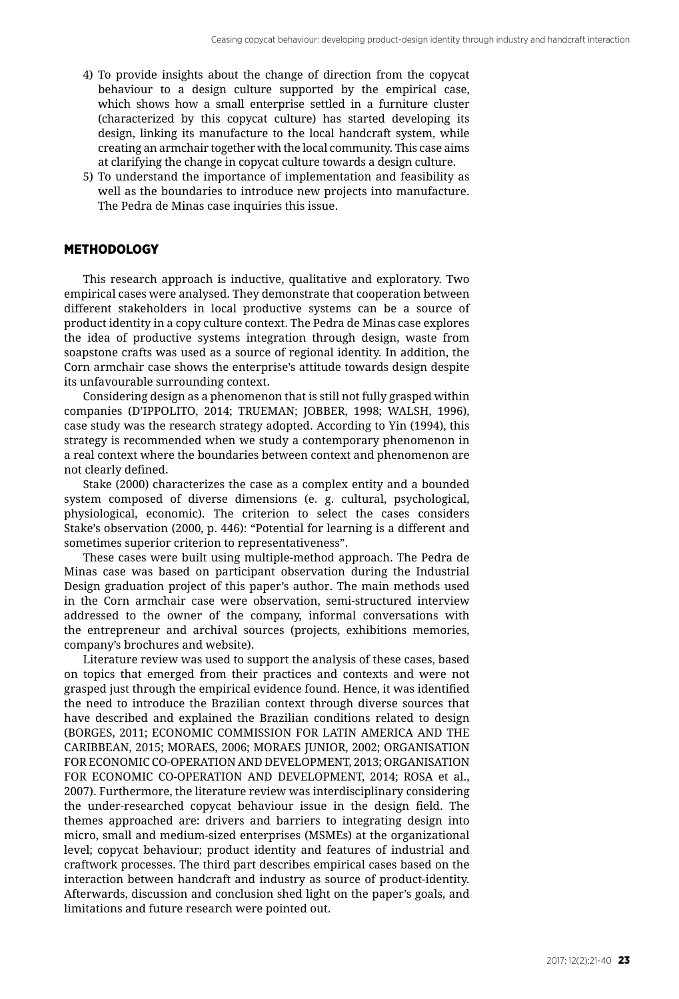- 4) To provide insights about the change of direction from the copycat behaviour to a design culture supported by the empirical case, which shows how a small enterprise settled in a furniture cluster (characterized by this copycat culture) has started developing its design, linking its manufacture to the local handcraft system, while creating an armchair together with the local community. This case aims at clarifying the change in copycat culture towards a design culture.
- 5) To understand the importance of implementation and feasibility as well as the boundaries to introduce new projects into manufacture. The Pedra de Minas case inquiries this issue.

## **METHODOLOGY**

This research approach is inductive, qualitative and exploratory. Two empirical cases were analysed. They demonstrate that cooperation between different stakeholders in local productive systems can be a source of product identity in a copy culture context. The Pedra de Minas case explores the idea of productive systems integration through design, waste from soapstone crafts was used as a source of regional identity. In addition, the Corn armchair case shows the enterprise's attitude towards design despite its unfavourable surrounding context.

Considering design as a phenomenon that is still not fully grasped within companies (D'IPPOLITO, 2014; TRUEMAN; JOBBER, 1998; WALSH, 1996), case study was the research strategy adopted. According to Yin (1994), this strategy is recommended when we study a contemporary phenomenon in a real context where the boundaries between context and phenomenon are not clearly defined.

Stake (2000) characterizes the case as a complex entity and a bounded system composed of diverse dimensions (e. g. cultural, psychological, physiological, economic). The criterion to select the cases considers Stake's observation (2000, p. 446): "Potential for learning is a different and sometimes superior criterion to representativeness".

These cases were built using multiple-method approach. The Pedra de Minas case was based on participant observation during the Industrial Design graduation project of this paper's author. The main methods used in the Corn armchair case were observation, semi-structured interview addressed to the owner of the company, informal conversations with the entrepreneur and archival sources (projects, exhibitions memories, company's brochures and website).

Literature review was used to support the analysis of these cases, based on topics that emerged from their practices and contexts and were not grasped just through the empirical evidence found. Hence, it was identified the need to introduce the Brazilian context through diverse sources that have described and explained the Brazilian conditions related to design (BORGES, 2011; ECONOMIC COMMISSION FOR LATIN AMERICA AND THE CARIBBEAN, 2015; MORAES, 2006; MORAES JUNIOR, 2002; ORGANISATION FOR ECONOMIC CO-OPERATION AND DEVELOPMENT, 2013; ORGANISATION FOR ECONOMIC CO-OPERATION AND DEVELOPMENT, 2014; ROSA et al., 2007). Furthermore, the literature review was interdisciplinary considering the under-researched copycat behaviour issue in the design field. The themes approached are: drivers and barriers to integrating design into micro, small and medium-sized enterprises (MSMEs) at the organizational level; copycat behaviour; product identity and features of industrial and craftwork processes. The third part describes empirical cases based on the interaction between handcraft and industry as source of product-identity. Afterwards, discussion and conclusion shed light on the paper's goals, and limitations and future research were pointed out.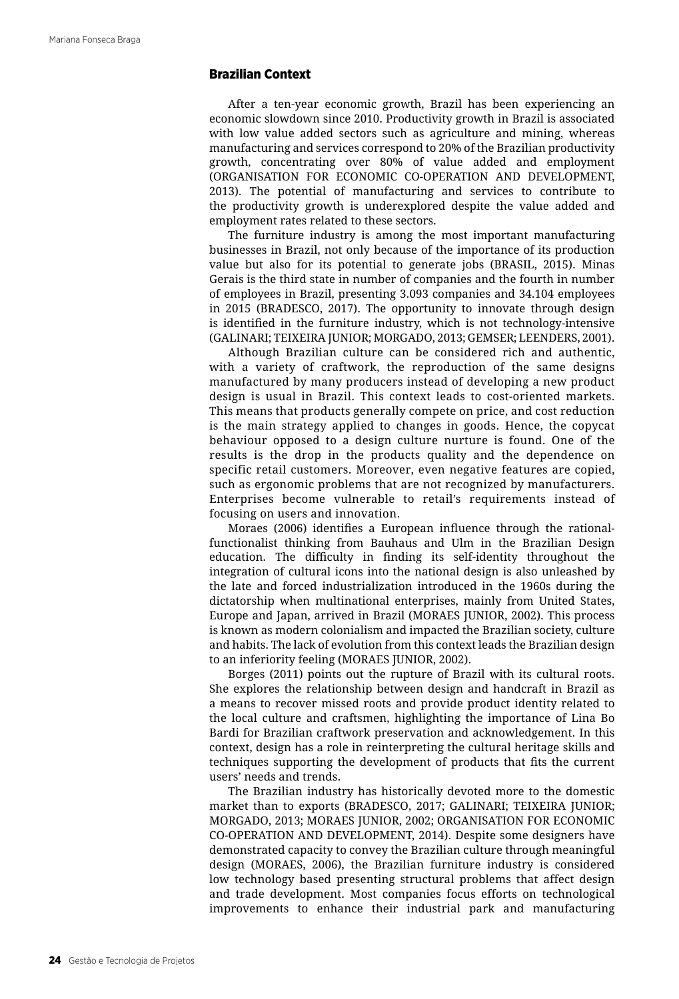## Brazilian Context

After a ten-year economic growth, Brazil has been experiencing an economic slowdown since 2010. Productivity growth in Brazil is associated with low value added sectors such as agriculture and mining, whereas manufacturing and services correspond to 20% of the Brazilian productivity growth, concentrating over 80% of value added and employment (ORGANISATION FOR ECONOMIC CO-OPERATION AND DEVELOPMENT, 2013). The potential of manufacturing and services to contribute to the productivity growth is underexplored despite the value added and employment rates related to these sectors.

The furniture industry is among the most important manufacturing businesses in Brazil, not only because of the importance of its production value but also for its potential to generate jobs (BRASIL, 2015). Minas Gerais is the third state in number of companies and the fourth in number of employees in Brazil, presenting 3.093 companies and 34.104 employees in 2015 (BRADESCO, 2017). The opportunity to innovate through design is identified in the furniture industry, which is not technology-intensive (GALINARI; TEIXEIRA JUNIOR; MORGADO, 2013; GEMSER; LEENDERS, 2001).

Although Brazilian culture can be considered rich and authentic, with a variety of craftwork, the reproduction of the same designs manufactured by many producers instead of developing a new product design is usual in Brazil. This context leads to cost-oriented markets. This means that products generally compete on price, and cost reduction is the main strategy applied to changes in goods. Hence, the copycat behaviour opposed to a design culture nurture is found. One of the results is the drop in the products quality and the dependence on specific retail customers. Moreover, even negative features are copied, such as ergonomic problems that are not recognized by manufacturers. Enterprises become vulnerable to retail's requirements instead of focusing on users and innovation.

Moraes (2006) identifies a European influence through the rationalfunctionalist thinking from Bauhaus and Ulm in the Brazilian Design education. The difficulty in finding its self-identity throughout the integration of cultural icons into the national design is also unleashed by the late and forced industrialization introduced in the 1960s during the dictatorship when multinational enterprises, mainly from United States, Europe and Japan, arrived in Brazil (MORAES JUNIOR, 2002). This process is known as modern colonialism and impacted the Brazilian society, culture and habits. The lack of evolution from this context leads the Brazilian design to an inferiority feeling (MORAES JUNIOR, 2002).

Borges (2011) points out the rupture of Brazil with its cultural roots. She explores the relationship between design and handcraft in Brazil as a means to recover missed roots and provide product identity related to the local culture and craftsmen, highlighting the importance of Lina Bo Bardi for Brazilian craftwork preservation and acknowledgement. In this context, design has a role in reinterpreting the cultural heritage skills and techniques supporting the development of products that fits the current users' needs and trends.

The Brazilian industry has historically devoted more to the domestic market than to exports (BRADESCO, 2017; GALINARI; TEIXEIRA JUNIOR; MORGADO, 2013; MORAES JUNIOR, 2002; ORGANISATION FOR ECONOMIC CO-OPERATION AND DEVELOPMENT, 2014). Despite some designers have demonstrated capacity to convey the Brazilian culture through meaningful design (MORAES, 2006), the Brazilian furniture industry is considered low technology based presenting structural problems that affect design and trade development. Most companies focus efforts on technological improvements to enhance their industrial park and manufacturing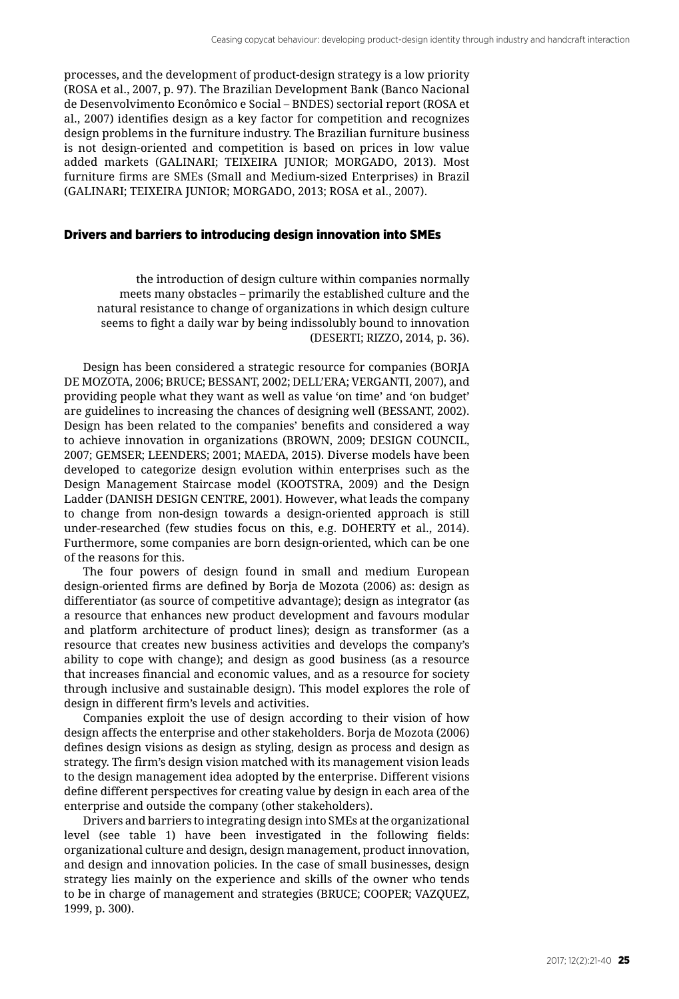processes, and the development of product-design strategy is a low priority (ROSA et al., 2007, p. 97). The Brazilian Development Bank (Banco Nacional de Desenvolvimento Econômico e Social – BNDES) sectorial report (ROSA et al., 2007) identifies design as a key factor for competition and recognizes design problems in the furniture industry. The Brazilian furniture business is not design-oriented and competition is based on prices in low value added markets (GALINARI; TEIXEIRA JUNIOR; MORGADO, 2013). Most furniture firms are SMEs (Small and Medium-sized Enterprises) in Brazil (GALINARI; TEIXEIRA JUNIOR; MORGADO, 2013; ROSA et al., 2007).

# Drivers and barriers to introducing design innovation into SMEs

the introduction of design culture within companies normally meets many obstacles – primarily the established culture and the natural resistance to change of organizations in which design culture seems to fight a daily war by being indissolubly bound to innovation (DESERTI; RIZZO, 2014, p. 36).

Design has been considered a strategic resource for companies (BORJA DE MOZOTA, 2006; BRUCE; BESSANT, 2002; DELL'ERA; VERGANTI, 2007), and providing people what they want as well as value 'on time' and 'on budget' are guidelines to increasing the chances of designing well (BESSANT, 2002). Design has been related to the companies' benefits and considered a way to achieve innovation in organizations (BROWN, 2009; DESIGN COUNCIL, 2007; GEMSER; LEENDERS; 2001; MAEDA, 2015). Diverse models have been developed to categorize design evolution within enterprises such as the Design Management Staircase model (KOOTSTRA, 2009) and the Design Ladder (DANISH DESIGN CENTRE, 2001). However, what leads the company to change from non-design towards a design-oriented approach is still under-researched (few studies focus on this, e.g. DOHERTY et al., 2014). Furthermore, some companies are born design-oriented, which can be one of the reasons for this.

The four powers of design found in small and medium European design-oriented firms are defined by Borja de Mozota (2006) as: design as differentiator (as source of competitive advantage); design as integrator (as a resource that enhances new product development and favours modular and platform architecture of product lines); design as transformer (as a resource that creates new business activities and develops the company's ability to cope with change); and design as good business (as a resource that increases financial and economic values, and as a resource for society through inclusive and sustainable design). This model explores the role of design in different firm's levels and activities.

Companies exploit the use of design according to their vision of how design affects the enterprise and other stakeholders. Borja de Mozota (2006) defines design visions as design as styling, design as process and design as strategy. The firm's design vision matched with its management vision leads to the design management idea adopted by the enterprise. Different visions define different perspectives for creating value by design in each area of the enterprise and outside the company (other stakeholders).

Drivers and barriers to integrating design into SMEs at the organizational level (see table 1) have been investigated in the following fields: organizational culture and design, design management, product innovation, and design and innovation policies. In the case of small businesses, design strategy lies mainly on the experience and skills of the owner who tends to be in charge of management and strategies (BRUCE; COOPER; VAZQUEZ, 1999, p. 300).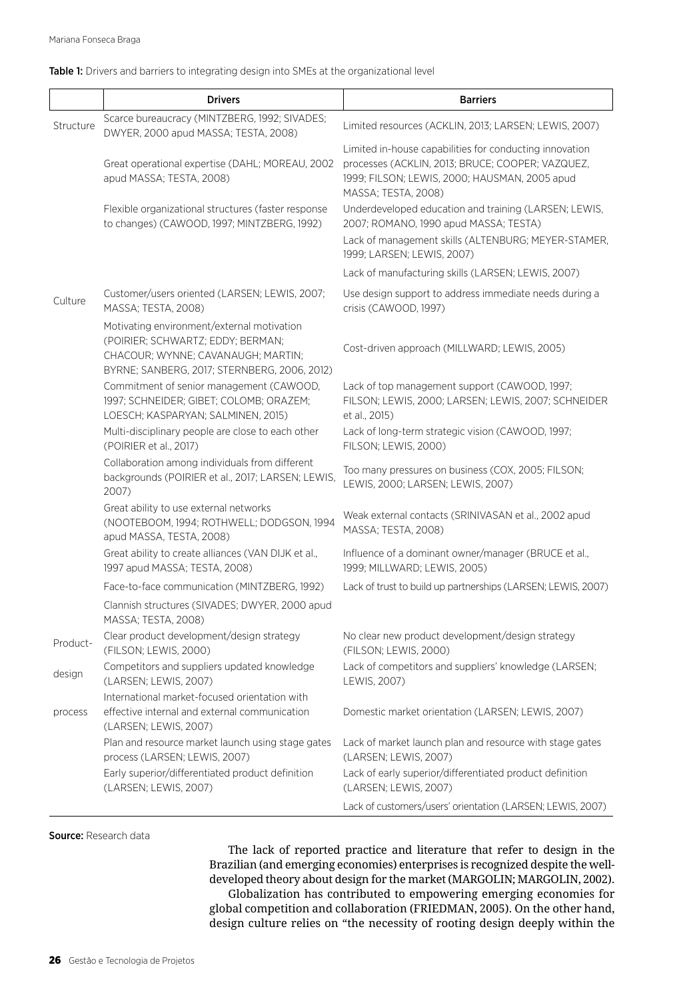#### Table 1: Drivers and barriers to integrating design into SMEs at the organizational level

|           | <b>Drivers</b>                                                                                                                                                        | <b>Barriers</b>                                                                                                                                                                     |
|-----------|-----------------------------------------------------------------------------------------------------------------------------------------------------------------------|-------------------------------------------------------------------------------------------------------------------------------------------------------------------------------------|
| Structure | Scarce bureaucracy (MINTZBERG, 1992; SIVADES;<br>DWYER, 2000 apud MASSA; TESTA, 2008)                                                                                 | Limited resources (ACKLIN, 2013; LARSEN; LEWIS, 2007)                                                                                                                               |
|           | Great operational expertise (DAHL; MOREAU, 2002<br>apud MASSA; TESTA, 2008)                                                                                           | Limited in-house capabilities for conducting innovation<br>processes (ACKLIN, 2013; BRUCE; COOPER; VAZQUEZ,<br>1999; FILSON; LEWIS, 2000; HAUSMAN, 2005 apud<br>MASSA; TESTA, 2008) |
|           | Flexible organizational structures (faster response<br>to changes) (CAWOOD, 1997; MINTZBERG, 1992)                                                                    | Underdeveloped education and training (LARSEN; LEWIS,<br>2007; ROMANO, 1990 apud MASSA; TESTA)<br>Lack of management skills (ALTENBURG; MEYER-STAMER,<br>1999; LARSEN; LEWIS, 2007) |
|           |                                                                                                                                                                       | Lack of manufacturing skills (LARSEN; LEWIS, 2007)                                                                                                                                  |
| Culture   | Customer/users oriented (LARSEN; LEWIS, 2007;<br>MASSA; TESTA, 2008)                                                                                                  | Use design support to address immediate needs during a<br>crisis (CAWOOD, 1997)                                                                                                     |
|           | Motivating environment/external motivation<br>(POIRIER; SCHWARTZ; EDDY; BERMAN;<br>CHACOUR; WYNNE; CAVANAUGH; MARTIN;<br>BYRNE; SANBERG, 2017; STERNBERG, 2006, 2012) | Cost-driven approach (MILLWARD; LEWIS, 2005)                                                                                                                                        |
|           | Commitment of senior management (CAWOOD,<br>1997; SCHNEIDER; GIBET; COLOMB; ORAZEM;<br>LOESCH; KASPARYAN; SALMINEN, 2015)                                             | Lack of top management support (CAWOOD, 1997;<br>FILSON; LEWIS, 2000; LARSEN; LEWIS, 2007; SCHNEIDER<br>et al., 2015)                                                               |
|           | Multi-disciplinary people are close to each other<br>(POIRIER et al., 2017)                                                                                           | Lack of long-term strategic vision (CAWOOD, 1997;<br>FILSON; LEWIS, 2000)                                                                                                           |
|           | Collaboration among individuals from different<br>backgrounds (POIRIER et al., 2017; LARSEN; LEWIS,<br>2007)                                                          | Too many pressures on business (COX, 2005; FILSON;<br>LEWIS, 2000; LARSEN; LEWIS, 2007)                                                                                             |
|           | Great ability to use external networks<br>(NOOTEBOOM, 1994; ROTHWELL; DODGSON, 1994<br>apud MASSA, TESTA, 2008)                                                       | Weak external contacts (SRINIVASAN et al., 2002 apud<br>MASSA; TESTA, 2008)                                                                                                         |
|           | Great ability to create alliances (VAN DIJK et al.,<br>1997 apud MASSA; TESTA, 2008)                                                                                  | Influence of a dominant owner/manager (BRUCE et al.,<br>1999; MILLWARD; LEWIS, 2005)                                                                                                |
|           | Face-to-face communication (MINTZBERG, 1992)<br>Clannish structures (SIVADES; DWYER, 2000 apud<br>MASSA; TESTA, 2008)                                                 | Lack of trust to build up partnerships (LARSEN; LEWIS, 2007)                                                                                                                        |
| Product-  | Clear product development/design strategy<br>(FILSON; LEWIS, 2000)                                                                                                    | No clear new product development/design strategy<br>(FILSON; LEWIS, 2000)                                                                                                           |
| design    | Competitors and suppliers updated knowledge<br>(LARSEN; LEWIS, 2007)                                                                                                  | Lack of competitors and suppliers' knowledge (LARSEN;<br>LEWIS, 2007)                                                                                                               |
| process   | International market-focused orientation with<br>effective internal and external communication<br>(LARSEN; LEWIS, 2007)                                               | Domestic market orientation (LARSEN; LEWIS, 2007)                                                                                                                                   |
|           | Plan and resource market launch using stage gates<br>process (LARSEN; LEWIS, 2007)                                                                                    | Lack of market launch plan and resource with stage gates<br>(LARSEN; LEWIS, 2007)                                                                                                   |
|           | Early superior/differentiated product definition<br>(LARSEN; LEWIS, 2007)                                                                                             | Lack of early superior/differentiated product definition<br>(LARSEN; LEWIS, 2007)                                                                                                   |
|           |                                                                                                                                                                       | Lack of customers/users' orientation (LARSEN; LEWIS, 2007)                                                                                                                          |

Source: Research data

The lack of reported practice and literature that refer to design in the Brazilian (and emerging economies) enterprises is recognized despite the welldeveloped theory about design for the market (MARGOLIN; MARGOLIN, 2002). Globalization has contributed to empowering emerging economies for global competition and collaboration (FRIEDMAN, 2005). On the other hand, design culture relies on "the necessity of rooting design deeply within the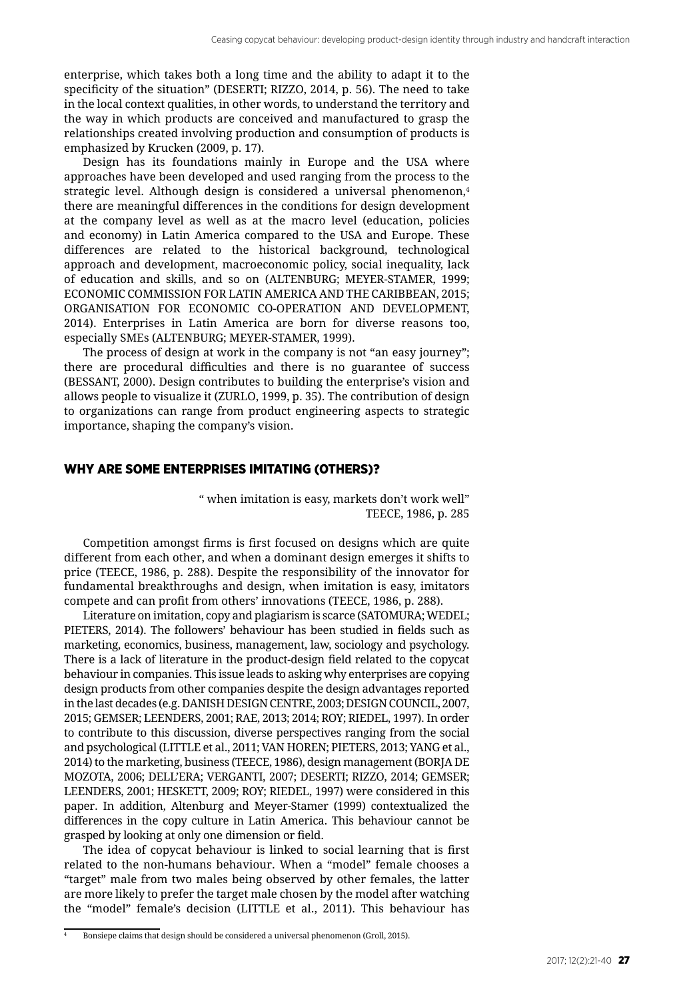enterprise, which takes both a long time and the ability to adapt it to the specificity of the situation" (DESERTI; RIZZO, 2014, p. 56). The need to take in the local context qualities, in other words, to understand the territory and the way in which products are conceived and manufactured to grasp the relationships created involving production and consumption of products is emphasized by Krucken (2009, p. 17).

Design has its foundations mainly in Europe and the USA where approaches have been developed and used ranging from the process to the strategic level. Although design is considered a universal phenomenon,<sup>4</sup> there are meaningful differences in the conditions for design development at the company level as well as at the macro level (education, policies and economy) in Latin America compared to the USA and Europe. These differences are related to the historical background, technological approach and development, macroeconomic policy, social inequality, lack of education and skills, and so on (ALTENBURG; MEYER-STAMER, 1999; ECONOMIC COMMISSION FOR LATIN AMERICA AND THE CARIBBEAN, 2015; ORGANISATION FOR ECONOMIC CO-OPERATION AND DEVELOPMENT, 2014). Enterprises in Latin America are born for diverse reasons too, especially SMEs (ALTENBURG; MEYER-STAMER, 1999).

The process of design at work in the company is not "an easy journey"; there are procedural difficulties and there is no guarantee of success (BESSANT, 2000). Design contributes to building the enterprise's vision and allows people to visualize it (ZURLO, 1999, p. 35). The contribution of design to organizations can range from product engineering aspects to strategic importance, shaping the company's vision.

#### WHY ARE SOME ENTERPRISES IMITATING (OTHERS)?

" when imitation is easy, markets don't work well" TEECE, 1986, p. 285

Competition amongst firms is first focused on designs which are quite different from each other, and when a dominant design emerges it shifts to price (TEECE, 1986, p. 288). Despite the responsibility of the innovator for fundamental breakthroughs and design, when imitation is easy, imitators compete and can profit from others' innovations (TEECE, 1986, p. 288).

Literature on imitation, copy and plagiarism is scarce (SATOMURA; WEDEL; PIETERS, 2014). The followers' behaviour has been studied in fields such as marketing, economics, business, management, law, sociology and psychology. There is a lack of literature in the product-design field related to the copycat behaviour in companies. This issue leads to asking why enterprises are copying design products from other companies despite the design advantages reported in the last decades (e.g. DANISH DESIGN CENTRE, 2003; DESIGN COUNCIL, 2007, 2015; GEMSER; LEENDERS, 2001; RAE, 2013; 2014; ROY; RIEDEL, 1997). In order to contribute to this discussion, diverse perspectives ranging from the social and psychological (LITTLE et al., 2011; VAN HOREN; PIETERS, 2013; YANG et al., 2014) to the marketing, business (TEECE, 1986), design management (BORJA DE MOZOTA, 2006; DELL'ERA; VERGANTI, 2007; DESERTI; RIZZO, 2014; GEMSER; LEENDERS, 2001; HESKETT, 2009; ROY; RIEDEL, 1997) were considered in this paper. In addition, Altenburg and Meyer-Stamer (1999) contextualized the differences in the copy culture in Latin America. This behaviour cannot be grasped by looking at only one dimension or field.

The idea of copycat behaviour is linked to social learning that is first related to the non-humans behaviour. When a "model" female chooses a "target" male from two males being observed by other females, the latter are more likely to prefer the target male chosen by the model after watching the "model" female's decision (LITTLE et al., 2011). This behaviour has

<sup>4</sup> Bonsiepe claims that design should be considered a universal phenomenon (Groll, 2015).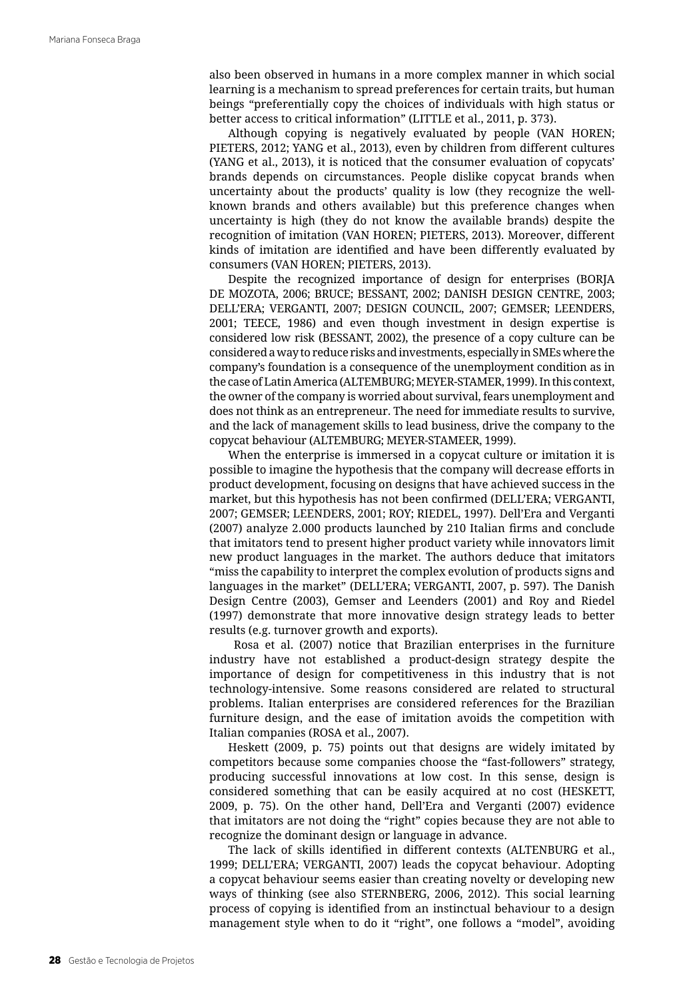also been observed in humans in a more complex manner in which social learning is a mechanism to spread preferences for certain traits, but human beings "preferentially copy the choices of individuals with high status or better access to critical information" (LITTLE et al., 2011, p. 373).

Although copying is negatively evaluated by people (VAN HOREN; PIETERS, 2012; YANG et al., 2013), even by children from different cultures (YANG et al., 2013), it is noticed that the consumer evaluation of copycats' brands depends on circumstances. People dislike copycat brands when uncertainty about the products' quality is low (they recognize the wellknown brands and others available) but this preference changes when uncertainty is high (they do not know the available brands) despite the recognition of imitation (VAN HOREN; PIETERS, 2013). Moreover, different kinds of imitation are identified and have been differently evaluated by consumers (VAN HOREN; PIETERS, 2013).

Despite the recognized importance of design for enterprises (BORJA DE MOZOTA, 2006; BRUCE; BESSANT, 2002; DANISH DESIGN CENTRE, 2003; DELL'ERA; VERGANTI, 2007; DESIGN COUNCIL, 2007; GEMSER; LEENDERS, 2001; TEECE, 1986) and even though investment in design expertise is considered low risk (BESSANT, 2002), the presence of a copy culture can be considered a way to reduce risks and investments, especially in SMEs where the company's foundation is a consequence of the unemployment condition as in the case of Latin America (ALTEMBURG; MEYER-STAMER, 1999). In this context, the owner of the company is worried about survival, fears unemployment and does not think as an entrepreneur. The need for immediate results to survive, and the lack of management skills to lead business, drive the company to the copycat behaviour (ALTEMBURG; MEYER-STAMEER, 1999).

When the enterprise is immersed in a copycat culture or imitation it is possible to imagine the hypothesis that the company will decrease efforts in product development, focusing on designs that have achieved success in the market, but this hypothesis has not been confirmed (DELL'ERA; VERGANTI, 2007; GEMSER; LEENDERS, 2001; ROY; RIEDEL, 1997). Dell'Era and Verganti (2007) analyze 2.000 products launched by 210 Italian firms and conclude that imitators tend to present higher product variety while innovators limit new product languages in the market. The authors deduce that imitators "miss the capability to interpret the complex evolution of products signs and languages in the market" (DELL'ERA; VERGANTI, 2007, p. 597). The Danish Design Centre (2003), Gemser and Leenders (2001) and Roy and Riedel (1997) demonstrate that more innovative design strategy leads to better results (e.g. turnover growth and exports).

 Rosa et al. (2007) notice that Brazilian enterprises in the furniture industry have not established a product-design strategy despite the importance of design for competitiveness in this industry that is not technology-intensive. Some reasons considered are related to structural problems. Italian enterprises are considered references for the Brazilian furniture design, and the ease of imitation avoids the competition with Italian companies (ROSA et al., 2007).

Heskett (2009, p. 75) points out that designs are widely imitated by competitors because some companies choose the "fast-followers" strategy, producing successful innovations at low cost. In this sense, design is considered something that can be easily acquired at no cost (HESKETT, 2009, p. 75). On the other hand, Dell'Era and Verganti (2007) evidence that imitators are not doing the "right" copies because they are not able to recognize the dominant design or language in advance.

The lack of skills identified in different contexts (ALTENBURG et al., 1999; DELL'ERA; VERGANTI, 2007) leads the copycat behaviour. Adopting a copycat behaviour seems easier than creating novelty or developing new ways of thinking (see also STERNBERG, 2006, 2012). This social learning process of copying is identified from an instinctual behaviour to a design management style when to do it "right", one follows a "model", avoiding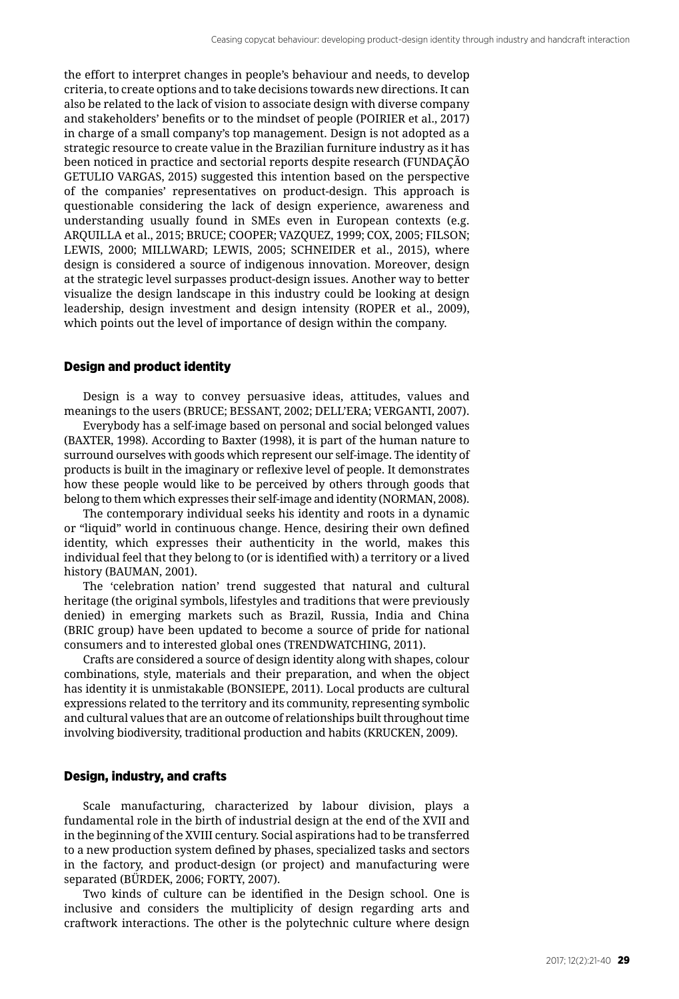the effort to interpret changes in people's behaviour and needs, to develop criteria, to create options and to take decisions towards new directions. It can also be related to the lack of vision to associate design with diverse company and stakeholders' benefits or to the mindset of people (POIRIER et al., 2017) in charge of a small company's top management. Design is not adopted as a strategic resource to create value in the Brazilian furniture industry as it has been noticed in practice and sectorial reports despite research (FUNDAÇÃO GETULIO VARGAS, 2015) suggested this intention based on the perspective of the companies' representatives on product-design. This approach is questionable considering the lack of design experience, awareness and understanding usually found in SMEs even in European contexts (e.g. ARQUILLA et al., 2015; BRUCE; COOPER; VAZQUEZ, 1999; COX, 2005; FILSON; LEWIS, 2000; MILLWARD; LEWIS, 2005; SCHNEIDER et al., 2015), where design is considered a source of indigenous innovation. Moreover, design at the strategic level surpasses product-design issues. Another way to better visualize the design landscape in this industry could be looking at design leadership, design investment and design intensity (ROPER et al., 2009), which points out the level of importance of design within the company.

#### Design and product identity

Design is a way to convey persuasive ideas, attitudes, values and meanings to the users (BRUCE; BESSANT, 2002; DELL'ERA; VERGANTI, 2007).

Everybody has a self-image based on personal and social belonged values (BAXTER, 1998). According to Baxter (1998), it is part of the human nature to surround ourselves with goods which represent our self-image. The identity of products is built in the imaginary or reflexive level of people. It demonstrates how these people would like to be perceived by others through goods that belong to them which expresses their self-image and identity (NORMAN, 2008).

The contemporary individual seeks his identity and roots in a dynamic or "liquid" world in continuous change. Hence, desiring their own defined identity, which expresses their authenticity in the world, makes this individual feel that they belong to (or is identified with) a territory or a lived history (BAUMAN, 2001).

The 'celebration nation' trend suggested that natural and cultural heritage (the original symbols, lifestyles and traditions that were previously denied) in emerging markets such as Brazil, Russia, India and China (BRIC group) have been updated to become a source of pride for national consumers and to interested global ones (TRENDWATCHING, 2011).

Crafts are considered a source of design identity along with shapes, colour combinations, style, materials and their preparation, and when the object has identity it is unmistakable (BONSIEPE, 2011). Local products are cultural expressions related to the territory and its community, representing symbolic and cultural values that are an outcome of relationships built throughout time involving biodiversity, traditional production and habits (KRUCKEN, 2009).

#### Design, industry, and crafts

Scale manufacturing, characterized by labour division, plays a fundamental role in the birth of industrial design at the end of the XVII and in the beginning of the XVIII century. Social aspirations had to be transferred to a new production system defined by phases, specialized tasks and sectors in the factory, and product-design (or project) and manufacturing were separated (BÜRDEK, 2006; FORTY, 2007).

Two kinds of culture can be identified in the Design school. One is inclusive and considers the multiplicity of design regarding arts and craftwork interactions. The other is the polytechnic culture where design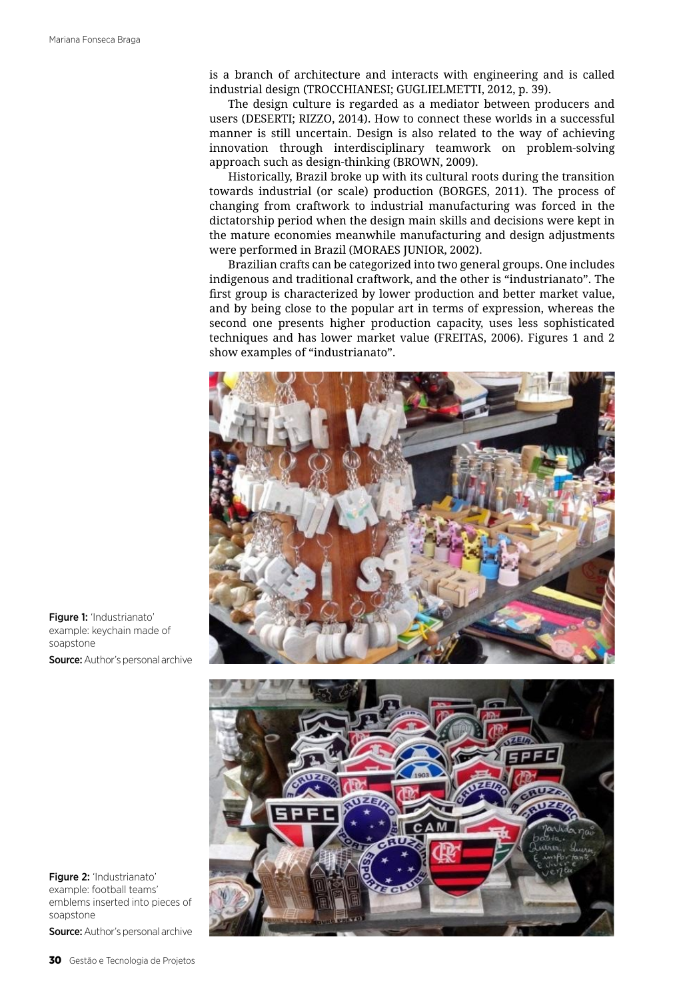is a branch of architecture and interacts with engineering and is called industrial design (TROCCHIANESI; GUGLIELMETTI, 2012, p. 39).

The design culture is regarded as a mediator between producers and users (DESERTI; RIZZO, 2014). How to connect these worlds in a successful manner is still uncertain. Design is also related to the way of achieving innovation through interdisciplinary teamwork on problem-solving approach such as design-thinking (BROWN, 2009).

Historically, Brazil broke up with its cultural roots during the transition towards industrial (or scale) production (BORGES, 2011). The process of changing from craftwork to industrial manufacturing was forced in the dictatorship period when the design main skills and decisions were kept in the mature economies meanwhile manufacturing and design adjustments were performed in Brazil (MORAES JUNIOR, 2002).

Brazilian crafts can be categorized into two general groups. One includes indigenous and traditional craftwork, and the other is "industrianato". The first group is characterized by lower production and better market value, and by being close to the popular art in terms of expression, whereas the second one presents higher production capacity, uses less sophisticated techniques and has lower market value (FREITAS, 2006). Figures 1 and 2 show examples of "industrianato".



Figure 1: 'Industrianato' example: keychain made of soapstone **Source:** Author's personal archive



Figure 2: 'Industrianato' example: football teams' emblems inserted into pieces of soapstone

Source: Author's personal archive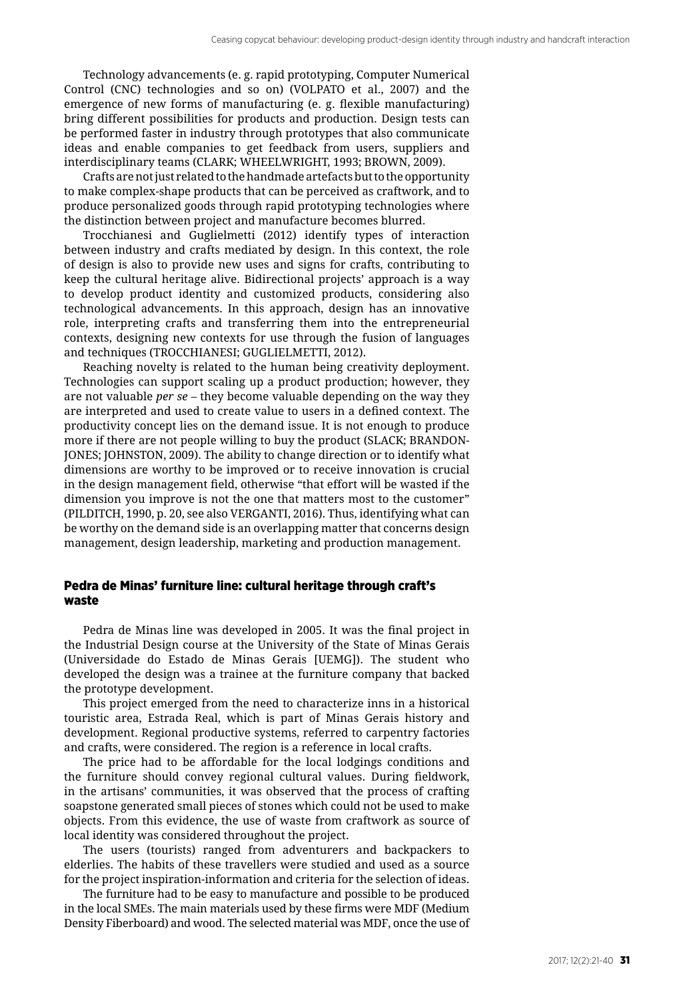Technology advancements (e. g. rapid prototyping, Computer Numerical Control (CNC) technologies and so on) (VOLPATO et al., 2007) and the emergence of new forms of manufacturing (e. g. flexible manufacturing) bring different possibilities for products and production. Design tests can be performed faster in industry through prototypes that also communicate ideas and enable companies to get feedback from users, suppliers and interdisciplinary teams (CLARK; WHEELWRIGHT, 1993; BROWN, 2009).

Crafts are not just related to the handmade artefacts but to the opportunity to make complex-shape products that can be perceived as craftwork, and to produce personalized goods through rapid prototyping technologies where the distinction between project and manufacture becomes blurred.

Trocchianesi and Guglielmetti (2012) identify types of interaction between industry and crafts mediated by design. In this context, the role of design is also to provide new uses and signs for crafts, contributing to keep the cultural heritage alive. Bidirectional projects' approach is a way to develop product identity and customized products, considering also technological advancements. In this approach, design has an innovative role, interpreting crafts and transferring them into the entrepreneurial contexts, designing new contexts for use through the fusion of languages and techniques (TROCCHIANESI; GUGLIELMETTI, 2012).

Reaching novelty is related to the human being creativity deployment. Technologies can support scaling up a product production; however, they are not valuable *per se* – they become valuable depending on the way they are interpreted and used to create value to users in a defined context. The productivity concept lies on the demand issue. It is not enough to produce more if there are not people willing to buy the product (SLACK; BRANDON-JONES; JOHNSTON, 2009). The ability to change direction or to identify what dimensions are worthy to be improved or to receive innovation is crucial in the design management field, otherwise "that effort will be wasted if the dimension you improve is not the one that matters most to the customer" (PILDITCH, 1990, p. 20, see also VERGANTI, 2016). Thus, identifying what can be worthy on the demand side is an overlapping matter that concerns design management, design leadership, marketing and production management.

#### Pedra de Minas' furniture line: cultural heritage through craft's waste

Pedra de Minas line was developed in 2005. It was the final project in the Industrial Design course at the University of the State of Minas Gerais (Universidade do Estado de Minas Gerais [UEMG]). The student who developed the design was a trainee at the furniture company that backed the prototype development.

This project emerged from the need to characterize inns in a historical touristic area, Estrada Real, which is part of Minas Gerais history and development. Regional productive systems, referred to carpentry factories and crafts, were considered. The region is a reference in local crafts.

The price had to be affordable for the local lodgings conditions and the furniture should convey regional cultural values. During fieldwork, in the artisans' communities, it was observed that the process of crafting soapstone generated small pieces of stones which could not be used to make objects. From this evidence, the use of waste from craftwork as source of local identity was considered throughout the project.

The users (tourists) ranged from adventurers and backpackers to elderlies. The habits of these travellers were studied and used as a source for the project inspiration-information and criteria for the selection of ideas.

The furniture had to be easy to manufacture and possible to be produced in the local SMEs. The main materials used by these firms were MDF (Medium Density Fiberboard) and wood. The selected material was MDF, once the use of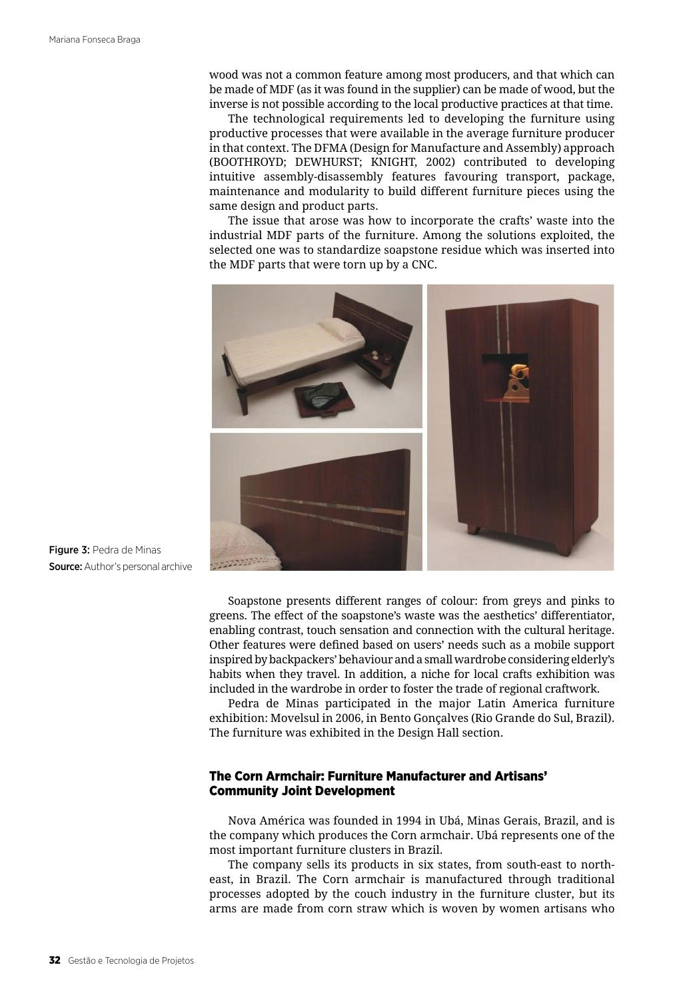wood was not a common feature among most producers, and that which can be made of MDF (as it was found in the supplier) can be made of wood, but the inverse is not possible according to the local productive practices at that time.

The technological requirements led to developing the furniture using productive processes that were available in the average furniture producer in that context. The DFMA (Design for Manufacture and Assembly) approach (BOOTHROYD; DEWHURST; KNIGHT, 2002) contributed to developing intuitive assembly-disassembly features favouring transport, package, maintenance and modularity to build different furniture pieces using the same design and product parts.

The issue that arose was how to incorporate the crafts' waste into the industrial MDF parts of the furniture. Among the solutions exploited, the selected one was to standardize soapstone residue which was inserted into the MDF parts that were torn up by a CNC.



```
Figure 3: Pedra de Minas
Source: Author's personal archive
```
Soapstone presents different ranges of colour: from greys and pinks to greens. The effect of the soapstone's waste was the aesthetics' differentiator, enabling contrast, touch sensation and connection with the cultural heritage. Other features were defined based on users' needs such as a mobile support inspired by backpackers' behaviour and a small wardrobe considering elderly's habits when they travel. In addition, a niche for local crafts exhibition was included in the wardrobe in order to foster the trade of regional craftwork.

Pedra de Minas participated in the major Latin America furniture exhibition: Movelsul in 2006, in Bento Gonçalves (Rio Grande do Sul, Brazil). The furniture was exhibited in the Design Hall section.

#### The Corn Armchair: Furniture Manufacturer and Artisans' Community Joint Development

Nova América was founded in 1994 in Ubá, Minas Gerais, Brazil, and is the company which produces the Corn armchair. Ubá represents one of the most important furniture clusters in Brazil.

The company sells its products in six states, from south-east to northeast, in Brazil. The Corn armchair is manufactured through traditional processes adopted by the couch industry in the furniture cluster, but its arms are made from corn straw which is woven by women artisans who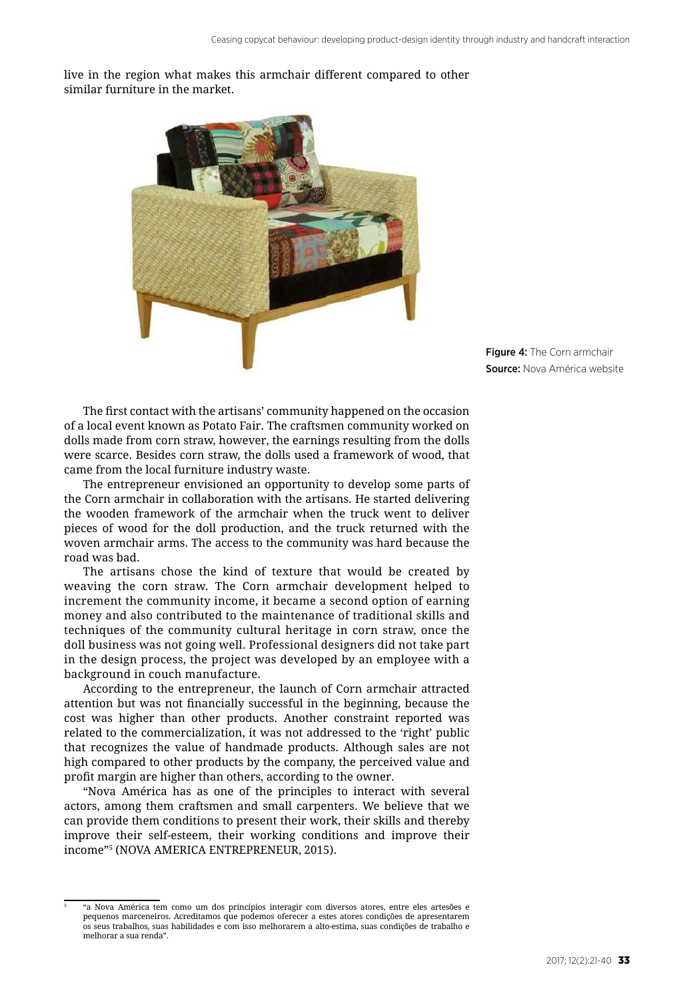live in the region what makes this armchair different compared to other similar furniture in the market.



Figure 4: The Corn armchair Source: Nova América website

The first contact with the artisans' community happened on the occasion of a local event known as Potato Fair. The craftsmen community worked on dolls made from corn straw, however, the earnings resulting from the dolls were scarce. Besides corn straw, the dolls used a framework of wood, that came from the local furniture industry waste.

The entrepreneur envisioned an opportunity to develop some parts of the Corn armchair in collaboration with the artisans. He started delivering the wooden framework of the armchair when the truck went to deliver pieces of wood for the doll production, and the truck returned with the woven armchair arms. The access to the community was hard because the road was bad.

The artisans chose the kind of texture that would be created by weaving the corn straw. The Corn armchair development helped to increment the community income, it became a second option of earning money and also contributed to the maintenance of traditional skills and techniques of the community cultural heritage in corn straw, once the doll business was not going well. Professional designers did not take part in the design process, the project was developed by an employee with a background in couch manufacture.

According to the entrepreneur, the launch of Corn armchair attracted attention but was not financially successful in the beginning, because the cost was higher than other products. Another constraint reported was related to the commercialization, it was not addressed to the 'right' public that recognizes the value of handmade products. Although sales are not high compared to other products by the company, the perceived value and profit margin are higher than others, according to the owner.

"Nova América has as one of the principles to interact with several actors, among them craftsmen and small carpenters. We believe that we can provide them conditions to present their work, their skills and thereby improve their self-esteem, their working conditions and improve their income"5 (NOVA AMERICA ENTREPRENEUR, 2015).

<sup>5</sup> "a Nova América tem como um dos princípios interagir com diversos atores, entre eles artesões e pequenos marceneiros. Acreditamos que podemos oferecer a estes atores condições de apresentarem os seus trabalhos, suas habilidades e com isso melhorarem a alto-estima, suas condições de trabalho e melhorar a sua renda".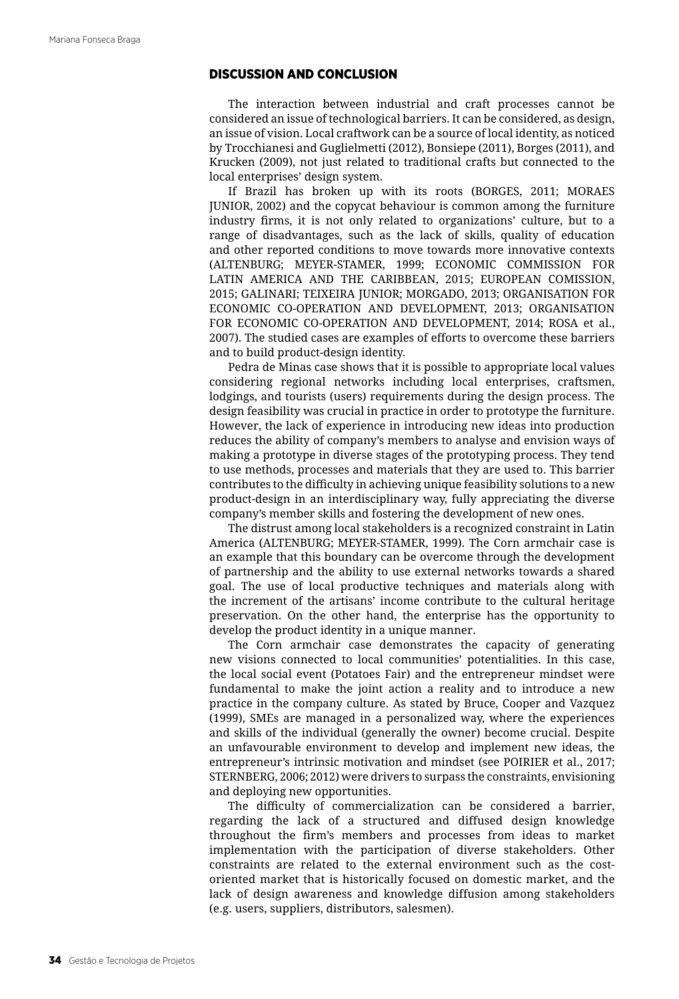## DISCUSSION AND CONCLUSION

The interaction between industrial and craft processes cannot be considered an issue of technological barriers. It can be considered, as design, an issue of vision. Local craftwork can be a source of local identity, as noticed by Trocchianesi and Guglielmetti (2012), Bonsiepe (2011), Borges (2011), and Krucken (2009), not just related to traditional crafts but connected to the local enterprises' design system.

If Brazil has broken up with its roots (BORGES, 2011; MORAES JUNIOR, 2002) and the copycat behaviour is common among the furniture industry firms, it is not only related to organizations' culture, but to a range of disadvantages, such as the lack of skills, quality of education and other reported conditions to move towards more innovative contexts (ALTENBURG; MEYER-STAMER, 1999; ECONOMIC COMMISSION FOR LATIN AMERICA AND THE CARIBBEAN, 2015; EUROPEAN COMISSION, 2015; GALINARI; TEIXEIRA JUNIOR; MORGADO, 2013; ORGANISATION FOR ECONOMIC CO-OPERATION AND DEVELOPMENT, 2013; ORGANISATION FOR ECONOMIC CO-OPERATION AND DEVELOPMENT, 2014; ROSA et al., 2007). The studied cases are examples of efforts to overcome these barriers and to build product-design identity.

Pedra de Minas case shows that it is possible to appropriate local values considering regional networks including local enterprises, craftsmen, lodgings, and tourists (users) requirements during the design process. The design feasibility was crucial in practice in order to prototype the furniture. However, the lack of experience in introducing new ideas into production reduces the ability of company's members to analyse and envision ways of making a prototype in diverse stages of the prototyping process. They tend to use methods, processes and materials that they are used to. This barrier contributes to the difficulty in achieving unique feasibility solutions to a new product-design in an interdisciplinary way, fully appreciating the diverse company's member skills and fostering the development of new ones.

The distrust among local stakeholders is a recognized constraint in Latin America (ALTENBURG; MEYER-STAMER, 1999). The Corn armchair case is an example that this boundary can be overcome through the development of partnership and the ability to use external networks towards a shared goal. The use of local productive techniques and materials along with the increment of the artisans' income contribute to the cultural heritage preservation. On the other hand, the enterprise has the opportunity to develop the product identity in a unique manner.

The Corn armchair case demonstrates the capacity of generating new visions connected to local communities' potentialities. In this case, the local social event (Potatoes Fair) and the entrepreneur mindset were fundamental to make the joint action a reality and to introduce a new practice in the company culture. As stated by Bruce, Cooper and Vazquez (1999), SMEs are managed in a personalized way, where the experiences and skills of the individual (generally the owner) become crucial. Despite an unfavourable environment to develop and implement new ideas, the entrepreneur's intrinsic motivation and mindset (see POIRIER et al., 2017; STERNBERG, 2006; 2012) were drivers to surpass the constraints, envisioning and deploying new opportunities.

The difficulty of commercialization can be considered a barrier, regarding the lack of a structured and diffused design knowledge throughout the firm's members and processes from ideas to market implementation with the participation of diverse stakeholders. Other constraints are related to the external environment such as the costoriented market that is historically focused on domestic market, and the lack of design awareness and knowledge diffusion among stakeholders (e.g. users, suppliers, distributors, salesmen).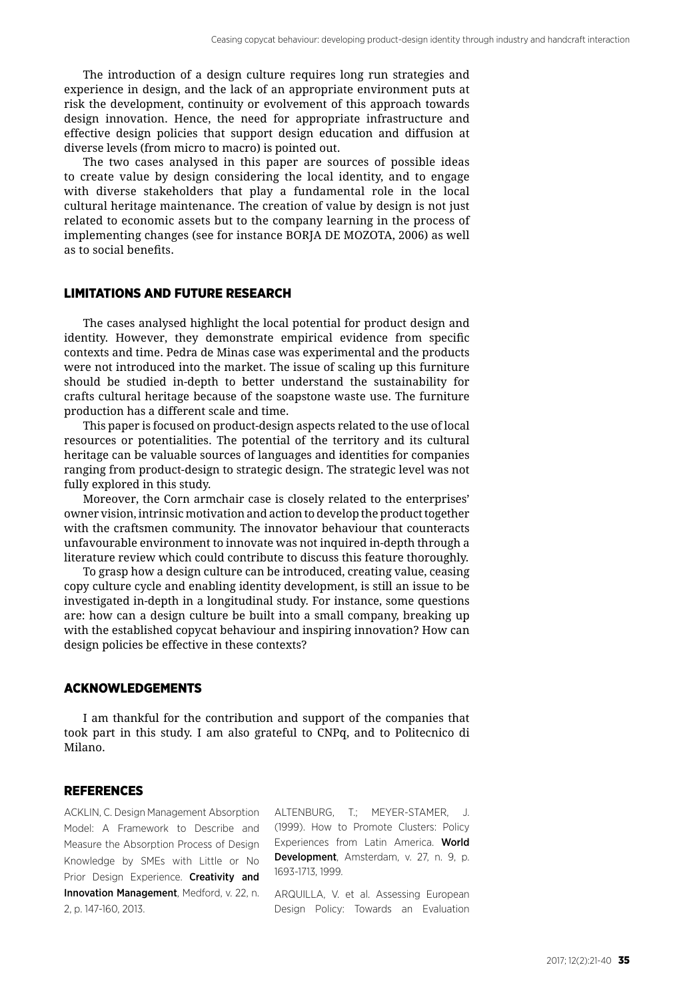The introduction of a design culture requires long run strategies and experience in design, and the lack of an appropriate environment puts at risk the development, continuity or evolvement of this approach towards design innovation. Hence, the need for appropriate infrastructure and effective design policies that support design education and diffusion at diverse levels (from micro to macro) is pointed out.

The two cases analysed in this paper are sources of possible ideas to create value by design considering the local identity, and to engage with diverse stakeholders that play a fundamental role in the local cultural heritage maintenance. The creation of value by design is not just related to economic assets but to the company learning in the process of implementing changes (see for instance BORJA DE MOZOTA, 2006) as well as to social benefits.

#### LIMITATIONS AND FUTURE RESEARCH

The cases analysed highlight the local potential for product design and identity. However, they demonstrate empirical evidence from specific contexts and time. Pedra de Minas case was experimental and the products were not introduced into the market. The issue of scaling up this furniture should be studied in-depth to better understand the sustainability for crafts cultural heritage because of the soapstone waste use. The furniture production has a different scale and time.

This paper is focused on product-design aspects related to the use of local resources or potentialities. The potential of the territory and its cultural heritage can be valuable sources of languages and identities for companies ranging from product-design to strategic design. The strategic level was not fully explored in this study.

Moreover, the Corn armchair case is closely related to the enterprises' owner vision, intrinsic motivation and action to develop the product together with the craftsmen community. The innovator behaviour that counteracts unfavourable environment to innovate was not inquired in-depth through a literature review which could contribute to discuss this feature thoroughly.

To grasp how a design culture can be introduced, creating value, ceasing copy culture cycle and enabling identity development, is still an issue to be investigated in-depth in a longitudinal study. For instance, some questions are: how can a design culture be built into a small company, breaking up with the established copycat behaviour and inspiring innovation? How can design policies be effective in these contexts?

# ACKNOWLEDGEMENTS

I am thankful for the contribution and support of the companies that took part in this study. I am also grateful to CNPq, and to Politecnico di Milano.

## REFERENCES

ACKLIN, C. Design Management Absorption Model: A Framework to Describe and Measure the Absorption Process of Design Knowledge by SMEs with Little or No Prior Design Experience. Creativity and Innovation Management, Medford, v. 22, n. 2, p. 147-160, 2013.

ALTENBURG, T.: MEYER-STAMER, (1999). How to Promote Clusters: Policy Experiences from Latin America. World Development, Amsterdam, v. 27, n. 9, p. 1693-1713, 1999.

ARQUILLA, V. et al. Assessing European Design Policy: Towards an Evaluation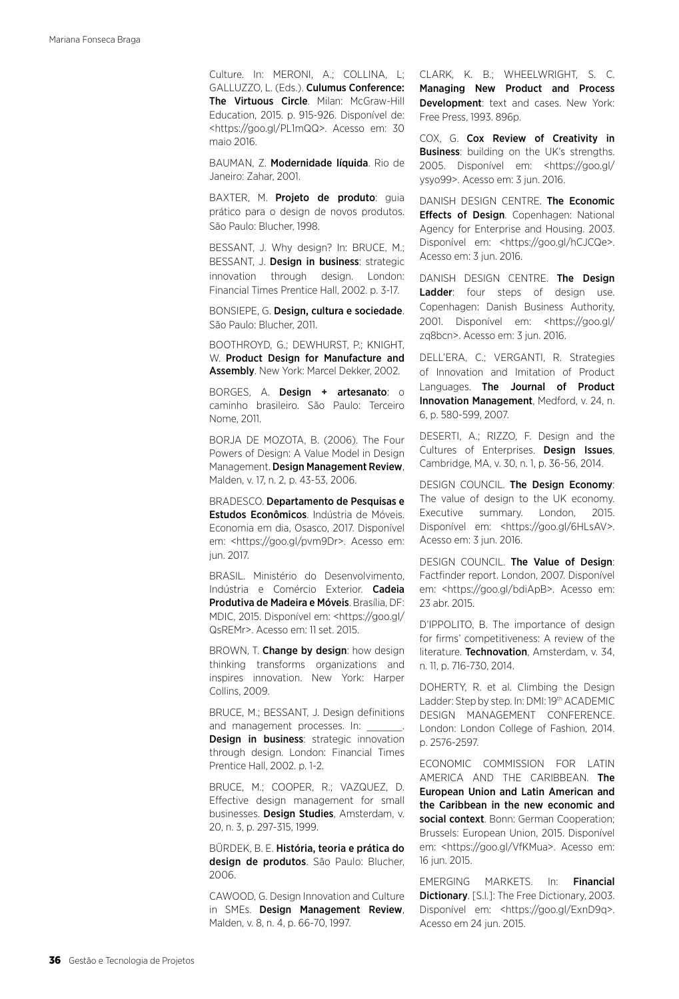Culture. In: MERONI, A.; COLLINA, L; GALLUZZO, L. (Eds.). Culumus Conference: The Virtuous Circle. Milan: McGraw-Hill Education, 2015. p. 915-926. Disponível de: <https://goo.gl/PL1mQQ>. Acesso em: 30 maio 2016.

BAUMAN, Z. Modernidade líquida. Rio de Janeiro: Zahar, 2001.

BAXTER, M. Projeto de produto: guia prático para o design de novos produtos. São Paulo: Blucher, 1998.

BESSANT, J. Why design? In: BRUCE, M.; BESSANT, J. Design in business: strategic innovation through design. London: Financial Times Prentice Hall, 2002. p. 3-17.

BONSIEPE, G. Design, cultura e sociedade. São Paulo: Blucher, 2011.

BOOTHROYD, G.; DEWHURST, P.; KNIGHT, W. Product Design for Manufacture and Assembly. New York: Marcel Dekker, 2002.

BORGES, A. Design + artesanato: o caminho brasileiro. São Paulo: Terceiro Nome, 2011.

BORJA DE MOZOTA, B. (2006). The Four Powers of Design: A Value Model in Design Management. Design Management Review. Malden, v. 17, n. 2, p. 43-53, 2006.

BRADESCO. Departamento de Pesquisas e Estudos Econômicos. Indústria de Móveis. Economia em dia, Osasco, 2017. Disponível em: <https://goo.gl/pvm9Dr>. Acesso em: jun. 2017.

BRASIL. Ministério do Desenvolvimento, Indústria e Comércio Exterior. Cadeia Produtiva de Madeira e Móveis. Brasília, DF: MDIC, 2015. Disponível em: <https://goo.gl/ QsREMr>. Acesso em: 11 set. 2015.

BROWN, T. Change by design: how design thinking transforms organizations and inspires innovation. New York: Harper Collins, 2009.

BRUCE, M.; BESSANT, J. Design definitions and management processes. In: Design in business: strategic innovation through design. London: Financial Times Prentice Hall, 2002. p. 1-2.

BRUCE, M.; COOPER, R.; VAZQUEZ, D. Effective design management for small businesses. Design Studies, Amsterdam, v. 20, n. 3, p. 297-315, 1999.

BÜRDEK, B. E. História, teoria e prática do design de produtos. São Paulo: Blucher, 2006.

CAWOOD, G. Design Innovation and Culture in SMEs. Design Management Review Malden, v. 8, n. 4, p. 66-70, 1997.

CLARK, K. B.; WHEELWRIGHT, S. C. Managing New Product and Process Development: text and cases. New York: Free Press, 1993. 896p.

COX, G. Cox Review of Creativity in **Business:** building on the UK's strengths. 2005. Disponível em: <https://goo.gl/ ysyo99>. Acesso em: 3 jun. 2016.

DANISH DESIGN CENTRE. The Economic **Effects of Design**. Copenhagen: National Agency for Enterprise and Housing. 2003. Disponível em: <https://goo.gl/hCJCQe>. Acesso em: 3 jun. 2016.

DANISH DESIGN CENTRE. The Design Ladder: four steps of design use. Copenhagen: Danish Business Authority, 2001. Disponível em: <https://goo.gl/ zq8bcn>. Acesso em: 3 jun. 2016.

DELL'ERA, C.; VERGANTI, R. Strategies of Innovation and Imitation of Product Languages. The Journal of Product Innovation Management, Medford, v. 24, n. 6, p. 580-599, 2007.

DESERTI, A.; RIZZO, F. Design and the Cultures of Enterprises. Design Issues. Cambridge, MA, v. 30, n. 1, p. 36-56, 2014.

DESIGN COUNCIL. The Design Economy: The value of design to the UK economy. Executive summary. London, 2015. Disponível em: <https://goo.gl/6HLsAV>. Acesso em: 3 jun. 2016.

DESIGN COUNCIL. The Value of Design: Factfinder report. London, 2007. Disponível em: <https://goo.gl/bdiApB>. Acesso em: 23 abr. 2015.

D'IPPOLITO, B. The importance of design for firms' competitiveness: A review of the literature. Technovation, Amsterdam, v. 34, n. 11, p. 716-730, 2014.

DOHERTY, R. et al. Climbing the Design Ladder: Step by step. In: DMI: 19th ACADEMIC DESIGN MANAGEMENT CONFERENCE. London: London College of Fashion, 2014. p. 2576-2597.

ECONOMIC COMMISSION FOR LATIN AMERICA AND THE CARIBBEAN. The European Union and Latin American and the Caribbean in the new economic and social context. Bonn: German Cooperation; Brussels: European Union, 2015. Disponível em: <https://goo.gl/VfKMua>. Acesso em: 16 jun. 2015.

EMERGING MARKETS. In: Financial Dictionary. [S.l.]: The Free Dictionary, 2003. Disponível em: <https://goo.gl/ExnD9q>. Acesso em 24 jun. 2015.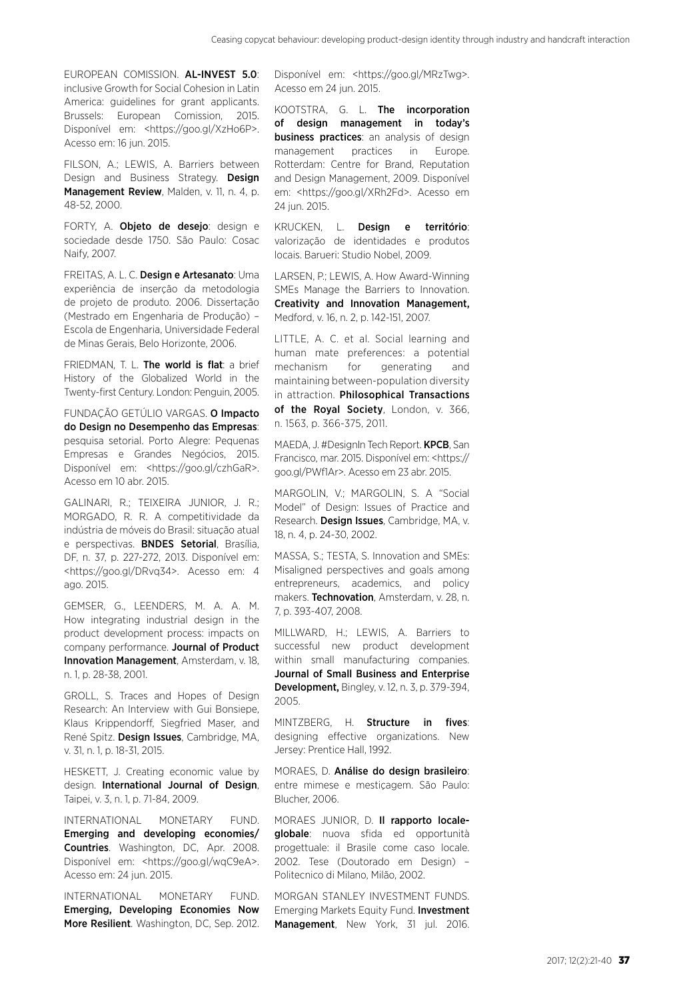EUROPEAN COMISSION. AL-INVEST 5.0: inclusive Growth for Social Cohesion in Latin America: guidelines for grant applicants. Brussels: European Comission, 2015. Disponível em: <https://goo.gl/XzHo6P>. Acesso em: 16 jun. 2015.

FILSON, A.; LEWIS, A. Barriers between Design and Business Strategy. Design Management Review, Malden, v. 11, n. 4, p. 48-52, 2000.

FORTY, A. Objeto de desejo: design e sociedade desde 1750. São Paulo: Cosac Naify, 2007.

FREITAS, A. L. C. Design e Artesanato: Uma experiência de inserção da metodologia de projeto de produto. 2006. Dissertação (Mestrado em Engenharia de Produção) – Escola de Engenharia, Universidade Federal de Minas Gerais, Belo Horizonte, 2006.

FRIEDMAN, T. L. The world is flat: a brief History of the Globalized World in the Twenty-first Century. London: Penguin, 2005.

FUNDAÇÃO GETÚLIO VARGAS. O Impacto do Design no Desempenho das Empresas: pesquisa setorial. Porto Alegre: Pequenas Empresas e Grandes Negócios, 2015. Disponível em: <https://goo.gl/czhGaR>. Acesso em 10 abr. 2015.

GALINARI, R.; TEIXEIRA JUNIOR, J. R.; MORGADO, R. R. A competitividade da indústria de móveis do Brasil: situação atual e perspectivas. BNDES Setorial, Brasília, DF, n. 37, p. 227-272, 2013. Disponível em: <https://goo.gl/DRvq34>. Acesso em: 4 ago. 2015.

GEMSER, G., LEENDERS, M. A. A. M. How integrating industrial design in the product development process: impacts on company performance. Journal of Product **Innovation Management**, Amsterdam, v. 18, n. 1, p. 28-38, 2001.

GROLL, S. Traces and Hopes of Design Research: An Interview with Gui Bonsiepe, Klaus Krippendorff, Siegfried Maser, and René Spitz. Design Issues, Cambridge, MA, v. 31, n. 1, p. 18-31, 2015.

HESKETT, J. Creating economic value by design. International Journal of Design, Taipei, v. 3, n. 1, p. 71-84, 2009.

INTERNATIONAL MONETARY FUND. Emerging and developing economies/ Countries. Washington, DC, Apr. 2008. Disponível em: <https://goo.gl/wqC9eA>. Acesso em: 24 jun. 2015.

INTERNATIONAL MONETARY FUND. Emerging, Developing Economies Now More Resilient. Washington, DC, Sep. 2012. Disponível em: <https://goo.gl/MRzTwg>. Acesso em 24 jun. 2015.

KOOTSTRA, G. L. The incorporation of design management in today's **business practices**: an analysis of design management practices in Europe. Rotterdam: Centre for Brand, Reputation and Design Management, 2009. Disponível em: <https://goo.gl/XRh2Fd>. Acesso em 24 jun. 2015.

KRUCKEN, L. Design e território: valorização de identidades e produtos locais. Barueri: Studio Nobel, 2009.

LARSEN, P.; LEWIS, A. How Award-Winning SMEs Manage the Barriers to Innovation. Creativity and Innovation Management, Medford, v. 16, n. 2, p. 142-151, 2007.

LITTLE, A. C. et al. Social learning and human mate preferences: a potential mechanism for generating and maintaining between-population diversity in attraction. Philosophical Transactions of the Royal Society, London, v. 366, n. 1563, p. 366-375, 2011.

MAEDA, J. #DesignIn Tech Report. KPCB, San Francisco, mar. 2015. Disponível em: <https:// goo.gl/PWf1Ar>. Acesso em 23 abr. 2015.

MARGOLIN, V.; MARGOLIN, S. A "Social Model" of Design: Issues of Practice and Research. Design Issues, Cambridge, MA, v. 18, n. 4, p. 24-30, 2002.

MASSA, S.; TESTA, S. Innovation and SMEs: Misaligned perspectives and goals among entrepreneurs, academics, and policy makers. Technovation, Amsterdam, v. 28, n. 7, p. 393-407, 2008.

MILLWARD, H.; LEWIS, A. Barriers to successful new product development within small manufacturing companies. Journal of Small Business and Enterprise Development, Bingley, v. 12, n. 3, p. 379-394, 2005.

MINTZBERG, H. Structure in fives: designing effective organizations. New Jersey: Prentice Hall, 1992.

MORAES, D. Análise do design brasileiro: entre mimese e mestiçagem. São Paulo: Blucher, 2006.

MORAES JUNIOR, D. Il rapporto localeglobale: nuova sfida ed opportunità progettuale: il Brasile come caso locale. 2002. Tese (Doutorado em Design) – Politecnico di Milano, Milão, 2002.

MORGAN STANLEY INVESTMENT FUNDS. Emerging Markets Equity Fund. Investment Management, New York, 31 jul. 2016.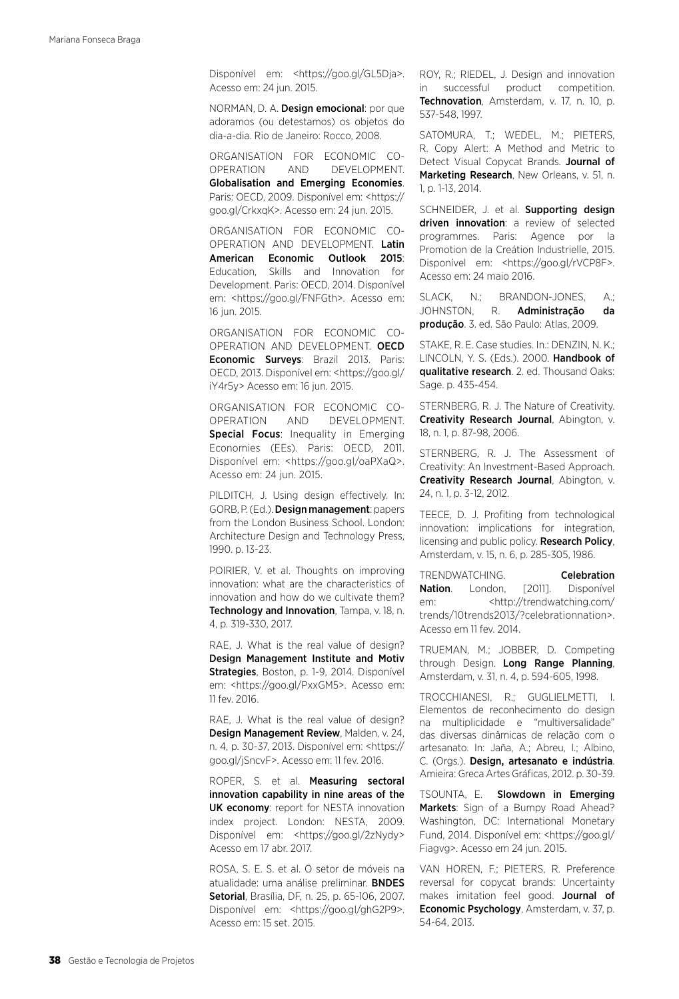Disponível em: <https://goo.gl/GL5Dja>. Acesso em: 24 jun. 2015.

NORMAN, D. A. Design emocional: por que adoramos (ou detestamos) os objetos do dia-a-dia. Rio de Janeiro: Rocco, 2008.

ORGANISATION FOR ECONOMIC CO-OPERATION AND DEVELOPMENT. Globalisation and Emerging Economies. Paris: OECD, 2009. Disponível em: <https:// goo.gl/CrkxqK>. Acesso em: 24 jun. 2015.

ORGANISATION FOR ECONOMIC CO-OPERATION AND DEVELOPMENT Latin American Economic Outlook 2015: Education, Skills and Innovation for Development. Paris: OECD, 2014. Disponível em: <https://goo.gl/FNFGth>. Acesso em: 16 jun. 2015.

ORGANISATION FOR ECONOMIC CO-OPERATION AND DEVELOPMENT. OECD Economic Surveys: Brazil 2013. Paris: OECD, 2013. Disponível em: <https://goo.gl/ iY4r5y> Acesso em: 16 jun. 2015.

ORGANISATION FOR ECONOMIC CO-<br>OPERATION AND DEVELOPMENT. OPERATION AND DEVELOPMENT. Special Focus: Inequality in Emerging Economies (EEs). Paris: OECD, 2011. Disponível em: <https://goo.gl/oaPXaQ>. Acesso em: 24 jun. 2015.

PILDITCH, J. Using design effectively. In: GORB, P. (Ed.). Design management: papers from the London Business School. London: Architecture Design and Technology Press, 1990. p. 13-23.

POIRIER, V. et al. Thoughts on improving innovation: what are the characteristics of innovation and how do we cultivate them? Technology and Innovation, Tampa, v. 18, n. 4, p. 319-330, 2017.

RAE, J. What is the real value of design? Design Management Institute and Motiv Strategies, Boston, p. 1-9, 2014. Disponível em: <https://goo.gl/PxxGM5>. Acesso em: 11 fev. 2016.

RAE, J. What is the real value of design? Design Management Review, Malden, v. 24, n. 4, p. 30-37, 2013. Disponível em: <https:// goo.gl/jSncvF>. Acesso em: 11 fev. 2016.

ROPER, S. et al. Measuring sectoral innovation capability in nine areas of the UK economy: report for NESTA innovation index project. London: NESTA, 2009. Disponível em: <https://goo.gl/2zNydy> Acesso em 17 abr. 2017.

ROSA, S. E. S. et al. O setor de móveis na atualidade: uma análise preliminar. BNDES Setorial, Brasília, DF, n. 25, p. 65-106, 2007. Disponível em: <https://goo.gl/ghG2P9>. Acesso em: 15 set. 2015.

ROY, R.; RIEDEL, J. Design and innovation in successful product competition. Technovation, Amsterdam, v. 17, n. 10, p. 537-548, 1997.

SATOMURA, T.; WEDEL, M.; PIETERS, R. Copy Alert: A Method and Metric to Detect Visual Copycat Brands. Journal of Marketing Research, New Orleans, v. 51, n. 1, p. 1-13, 2014.

SCHNEIDER, J. et al. Supporting design driven innovation: a review of selected programmes. Paris: Agence por la Promotion de la Creátion Industrielle, 2015. Disponível em: <https://goo.gl/rVCP8F>. Acesso em: 24 maio 2016.

SLACK, N.; BRANDON-JONES, A.; JOHNSTON, R. Administração da produção. 3. ed. São Paulo: Atlas, 2009.

STAKE, R. E. Case studies. In.: DENZIN, N. K.; LINCOLN, Y. S. (Eds.). 2000. Handbook of qualitative research. 2. ed. Thousand Oaks: Sage. p. 435-454.

STERNBERG, R. J. The Nature of Creativity. Creativity Research Journal, Abington, v. 18, n. 1, p. 87-98, 2006.

STERNBERG, R. J. The Assessment of Creativity: An Investment-Based Approach. Creativity Research Journal, Abington, v. 24, n. 1, p. 3-12, 2012.

TEECE, D. J. Profiting from technological innovation: implications for integration, licensing and public policy. Research Policy, Amsterdam, v. 15, n. 6, p. 285-305, 1986.

TRENDWATCHING. Celebration Nation. London. [2011]. Disponível em: <http://trendwatching.com/ trends/10trends2013/?celebrationnation>. Acesso em 11 fev. 2014.

TRUEMAN, M.; JOBBER, D. Competing through Design. Long Range Planning, Amsterdam, v. 31, n. 4, p. 594-605, 1998.

TROCCHIANESI, R.; GUGLIELMETTI, I. Elementos de reconhecimento do design na multiplicidade e "multiversalidade" das diversas dinâmicas de relação com o artesanato. In: Jaña, A.; Abreu, I.; Albino, C. (Orgs.). Design, artesanato e indústria. Amieira: Greca Artes Gráficas, 2012. p. 30-39.

TSOUNTA, E. Slowdown in Emerging Markets: Sign of a Bumpy Road Ahead? Washington, DC: International Monetary Fund, 2014. Disponível em: <https://goo.gl/ Fiagvg>. Acesso em 24 jun. 2015.

VAN HOREN, F.; PIETERS, R. Preference reversal for copycat brands: Uncertainty makes imitation feel good. Journal of Economic Psychology, Amsterdam, v. 37, p. 54-64, 2013.